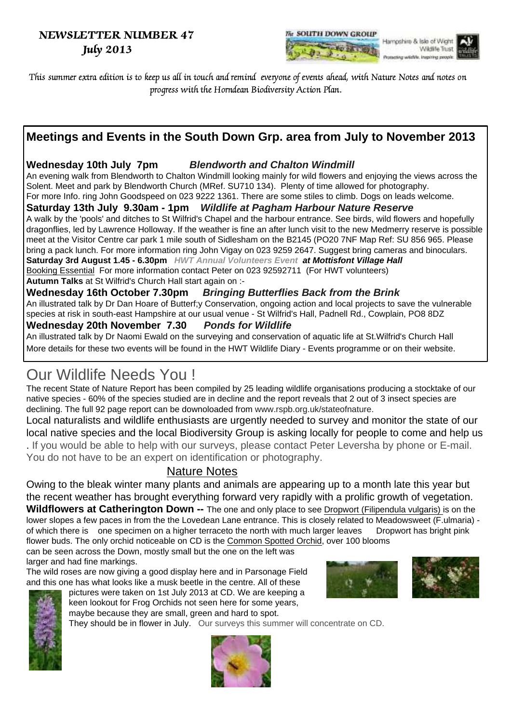### NEWSLETTER NUMBER 47 July 2013



This summer extra edition is to keep us all in touch and remind everyone of events ahead, with Nature Notes and notes on progress with the Horndean Biodiversity Action Plan.

## **Meetings and Events in the South Down Grp. area from July to November 2013**

#### **Wednesday 10th July 7pm Blendworth and Chalton Windmill**

An evening walk from Blendworth to Chalton Windmill looking mainly for wild flowers and enjoying the views across the Solent. Meet and park by Blendworth Church (MRef. SU710 134). Plenty of time allowed for photography. For more Info. ring John Goodspeed on 023 9222 1361. There are some stiles to climb. Dogs on leads welcome.

#### **Saturday 13th July 9.30am - 1pm Wildlife at Pagham Harbour Nature Reserve**

A walk by the 'pools' and ditches to St Wilfrid's Chapel and the harbour entrance. See birds, wild flowers and hopefully dragonflies, led by Lawrence Holloway. If the weather is fine an after lunch visit to the new Medmerry reserve is possible meet at the Visitor Centre car park 1 mile south of Sidlesham on the B2145 (PO20 7NF Map Ref: SU 856 965. Please bring a pack lunch. For more information ring John Vigay on 023 9259 2647. Suggest bring cameras and binoculars. **Saturday 3rd August 1.45 - 6.30pm HWT Annual Volunteers Event at Mottisfont Village Hall** Booking Essential For more information contact Peter on 023 92592711 (For HWT volunteers)

**Autumn Talks** at St Wilfrid's Church Hall start again on :-

**Wednesday 16th October 7.30pm Bringing Butterflies Back from the Brink** An illustrated talk by Dr Dan Hoare of Butterf;y Conservation, ongoing action and local projects to save the vulnerable species at risk in south-east Hampshire at our usual venue - St Wilfrid's Hall, Padnell Rd., Cowplain, PO8 8DZ

#### **Wednesday 20th November 7.30 Ponds for Wildlife**

An illustrated talk by Dr Naomi Ewald on the surveying and conservation of aquatic life at St.Wilfrid's Church Hall More details for these two events will be found in the HWT Wildlife Diary - Events programme or on their website.

# Our Wildlife Needs You !

The recent State of Nature Report has been compiled by 25 leading wildlife organisations producing a stocktake of our native species - 60% of the species studied are in decline and the report reveals that 2 out of 3 insect species are declining. The full 92 page report can be downoloaded from www.rspb.org.uk/stateofnature.

Local naturalists and wildlife enthusiasts are urgently needed to survey and monitor the state of our local native species and the local Biodiversity Group is asking locally for people to come and help us . If you would be able to help with our surveys, please contact Peter Leversha by phone or E-mail. You do not have to be an expert on identification or photography.

#### Nature Notes

Owing to the bleak winter many plants and animals are appearing up to a month late this year but the recent weather has brought everything forward very rapidly with a prolific growth of vegetation. **Wildflowers at Catherington Down --** The one and only place to see Dropwort (Filipendula vulgaris) is on the lower slopes a few paces in from the the Lovedean Lane entrance. This is closely related to Meadowsweet (F.ulmaria) of which there is one specimen on a higher terraceto the north with much larger leaves Dropwort has bright pink flower buds. The only orchid noticeable on CD is the Common Spotted Orchid, over 100 blooms

can be seen across the Down, mostly small but the one on the left was larger and had fine markings.

The wild roses are now giving a good display here and in Parsonage Field and this one has what looks like a musk beetle in the centre. All of these pictures were taken on 1st July 2013 at CD. We are keeping a







keen lookout for Frog Orchids not seen here for some years, maybe because they are small, green and hard to spot. They should be in flower in July. Our surveys this summer will concentrate on CD.